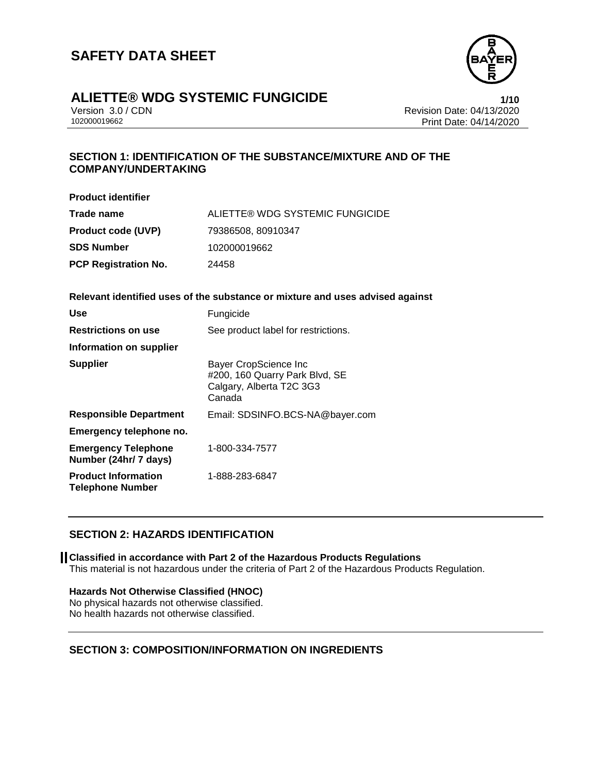

Version 3.0 / CDN<br>102000019662<br>Print Date: 04/14/2020 Print Date: 04/14/2020  $1/10$ 

## **SECTION 1: IDENTIFICATION OF THE SUBSTANCE/MIXTURE AND OF THE COMPANY/UNDERTAKING**

| <b>Product identifier</b>                             |                                                                                               |
|-------------------------------------------------------|-----------------------------------------------------------------------------------------------|
| Trade name                                            | ALIETTE® WDG SYSTEMIC FUNGICIDE                                                               |
| <b>Product code (UVP)</b>                             | 79386508, 80910347                                                                            |
| <b>SDS Number</b>                                     | 102000019662                                                                                  |
| <b>PCP Registration No.</b>                           | 24458                                                                                         |
|                                                       | Relevant identified uses of the substance or mixture and uses advised against                 |
| Use                                                   | Fungicide                                                                                     |
| <b>Restrictions on use</b>                            | See product label for restrictions.                                                           |
| Information on supplier                               |                                                                                               |
| <b>Supplier</b>                                       | Bayer CropScience Inc<br>#200, 160 Quarry Park Blvd, SE<br>Calgary, Alberta T2C 3G3<br>Canada |
| <b>Responsible Department</b>                         | Email: SDSINFO.BCS-NA@bayer.com                                                               |
| Emergency telephone no.                               |                                                                                               |
| <b>Emergency Telephone</b><br>Number (24hr/ 7 days)   | 1-800-334-7577                                                                                |
| <b>Product Information</b><br><b>Telephone Number</b> | 1-888-283-6847                                                                                |

## **SECTION 2: HAZARDS IDENTIFICATION**

**Classified in accordance with Part 2 of the Hazardous Products Regulations** This material is not hazardous under the criteria of Part 2 of the Hazardous Products Regulation.

### **Hazards Not Otherwise Classified (HNOC)**

No physical hazards not otherwise classified. No health hazards not otherwise classified.

## **SECTION 3: COMPOSITION/INFORMATION ON INGREDIENTS**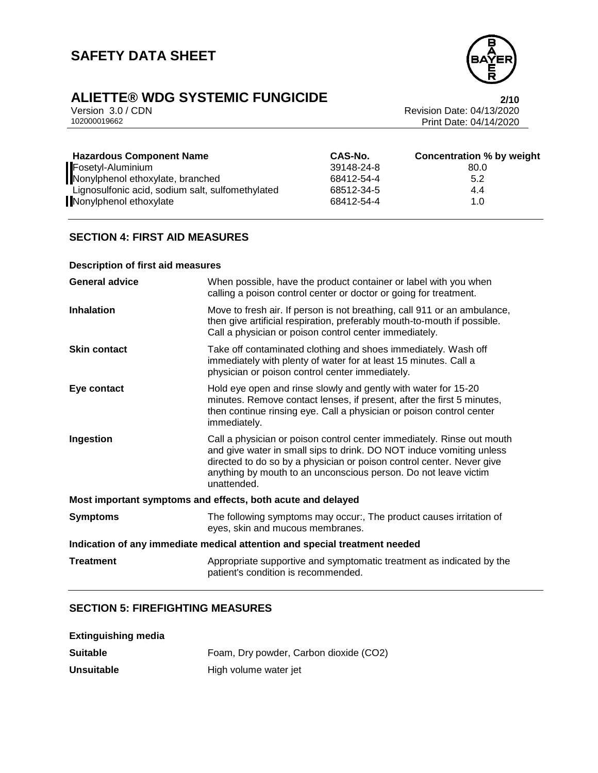

Version 3.0 / CDN<br>102000019662<br>Print Date: 04/14/2020 Print Date: 04/14/2020  $2/10$ 

| <b>Hazardous Component Name</b>                  | CAS-No.    | <b>Concentration % by weight</b> |
|--------------------------------------------------|------------|----------------------------------|
| Fosetyl-Aluminium                                | 39148-24-8 | 80.0                             |
| Nonylphenol ethoxylate, branched                 | 68412-54-4 | 5.2                              |
| Lignosulfonic acid, sodium salt, sulfomethylated | 68512-34-5 | 4.4                              |
| Nonylphenol ethoxylate                           | 68412-54-4 | 1.0                              |

## **SECTION 4: FIRST AID MEASURES**

#### **Description of first aid measures**

| <b>General advice</b>                                                      | When possible, have the product container or label with you when<br>calling a poison control center or doctor or going for treatment.                                                                                                                                                                     |  |
|----------------------------------------------------------------------------|-----------------------------------------------------------------------------------------------------------------------------------------------------------------------------------------------------------------------------------------------------------------------------------------------------------|--|
| <b>Inhalation</b>                                                          | Move to fresh air. If person is not breathing, call 911 or an ambulance,<br>then give artificial respiration, preferably mouth-to-mouth if possible.<br>Call a physician or poison control center immediately.                                                                                            |  |
| <b>Skin contact</b>                                                        | Take off contaminated clothing and shoes immediately. Wash off<br>immediately with plenty of water for at least 15 minutes. Call a<br>physician or poison control center immediately.                                                                                                                     |  |
| Eye contact                                                                | Hold eye open and rinse slowly and gently with water for 15-20<br>minutes. Remove contact lenses, if present, after the first 5 minutes,<br>then continue rinsing eye. Call a physician or poison control center<br>immediately.                                                                          |  |
| Ingestion                                                                  | Call a physician or poison control center immediately. Rinse out mouth<br>and give water in small sips to drink. DO NOT induce vomiting unless<br>directed to do so by a physician or poison control center. Never give<br>anything by mouth to an unconscious person. Do not leave victim<br>unattended. |  |
| Most important symptoms and effects, both acute and delayed                |                                                                                                                                                                                                                                                                                                           |  |
| <b>Symptoms</b>                                                            | The following symptoms may occur:, The product causes irritation of<br>eyes, skin and mucous membranes.                                                                                                                                                                                                   |  |
| Indication of any immediate medical attention and special treatment needed |                                                                                                                                                                                                                                                                                                           |  |
| <b>Treatment</b>                                                           | Appropriate supportive and symptomatic treatment as indicated by the<br>patient's condition is recommended.                                                                                                                                                                                               |  |

### **SECTION 5: FIREFIGHTING MEASURES**

| <b>Extinguishing media</b> |                                        |
|----------------------------|----------------------------------------|
| <b>Suitable</b>            | Foam, Dry powder, Carbon dioxide (CO2) |
| <b>Unsuitable</b>          | High volume water jet                  |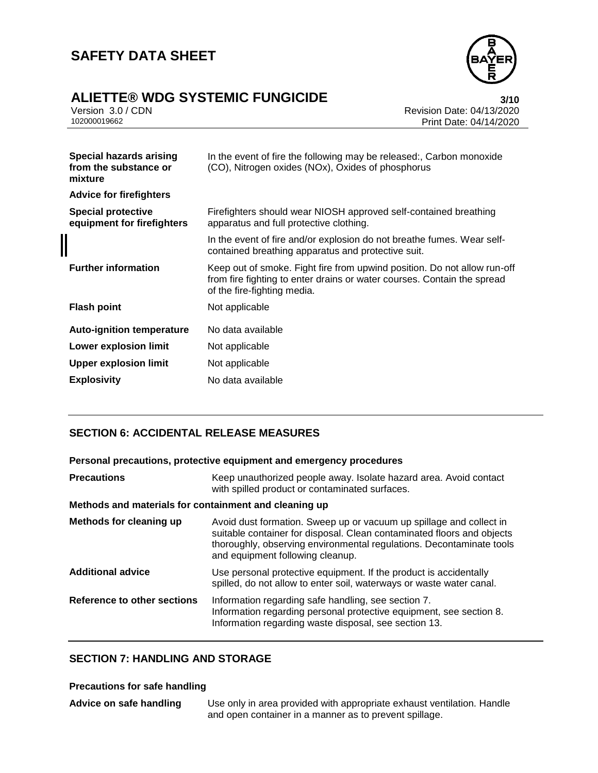

## **ALIETTE® WDG SYSTEMIC FUNGICIDE 3/10**

| Version 3.0 / CDI |  |
|-------------------|--|
| 102000019662      |  |

Version 3.0 / CDN Revision Date: 04/13/2020 Print Date: 04/14/2020  $3/10$ 

| Special hazards arising<br>from the substance or<br>mixture | In the event of fire the following may be released:, Carbon monoxide<br>(CO), Nitrogen oxides (NOx), Oxides of phosphorus                                                          |
|-------------------------------------------------------------|------------------------------------------------------------------------------------------------------------------------------------------------------------------------------------|
| <b>Advice for firefighters</b>                              |                                                                                                                                                                                    |
| <b>Special protective</b><br>equipment for firefighters     | Firefighters should wear NIOSH approved self-contained breathing<br>apparatus and full protective clothing.                                                                        |
|                                                             | In the event of fire and/or explosion do not breathe fumes. Wear self-<br>contained breathing apparatus and protective suit.                                                       |
| <b>Further information</b>                                  | Keep out of smoke. Fight fire from upwind position. Do not allow run-off<br>from fire fighting to enter drains or water courses. Contain the spread<br>of the fire-fighting media. |
| <b>Flash point</b>                                          | Not applicable                                                                                                                                                                     |
| <b>Auto-ignition temperature</b>                            | No data available                                                                                                                                                                  |
| Lower explosion limit                                       | Not applicable                                                                                                                                                                     |
| <b>Upper explosion limit</b>                                | Not applicable                                                                                                                                                                     |
| <b>Explosivity</b>                                          | No data available                                                                                                                                                                  |
|                                                             |                                                                                                                                                                                    |

## **SECTION 6: ACCIDENTAL RELEASE MEASURES**

## **Personal precautions, protective equipment and emergency procedures**

| <b>Precautions</b>                                    | Keep unauthorized people away. Isolate hazard area. Avoid contact<br>with spilled product or contaminated surfaces.                                                                                                                                       |  |
|-------------------------------------------------------|-----------------------------------------------------------------------------------------------------------------------------------------------------------------------------------------------------------------------------------------------------------|--|
| Methods and materials for containment and cleaning up |                                                                                                                                                                                                                                                           |  |
| Methods for cleaning up                               | Avoid dust formation. Sweep up or vacuum up spillage and collect in<br>suitable container for disposal. Clean contaminated floors and objects<br>thoroughly, observing environmental regulations. Decontaminate tools<br>and equipment following cleanup. |  |
| <b>Additional advice</b>                              | Use personal protective equipment. If the product is accidentally<br>spilled, do not allow to enter soil, waterways or waste water canal.                                                                                                                 |  |
| Reference to other sections                           | Information regarding safe handling, see section 7.<br>Information regarding personal protective equipment, see section 8.<br>Information regarding waste disposal, see section 13.                                                                       |  |

## **SECTION 7: HANDLING AND STORAGE**

#### **Precautions for safe handling**

**Advice on safe handling** Use only in area provided with appropriate exhaust ventilation. Handle and open container in a manner as to prevent spillage.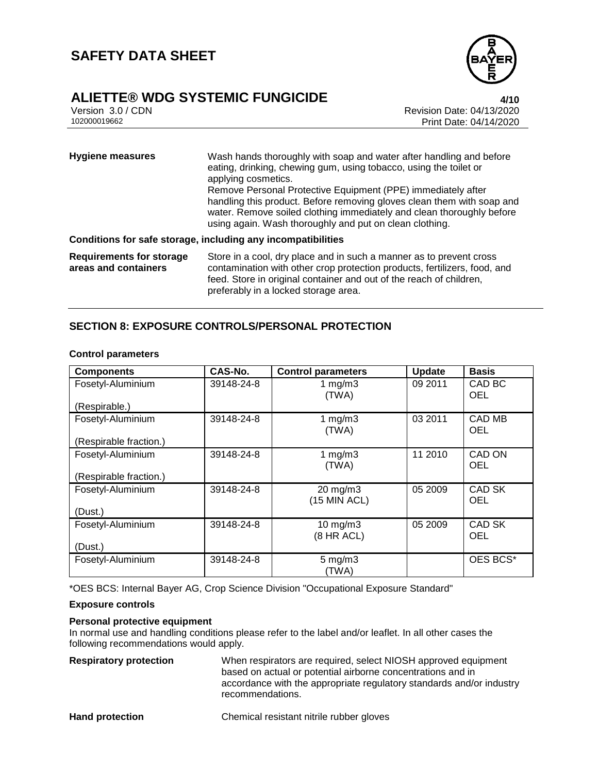

## **ALIETTE® WDG SYSTEMIC FUNGICIDE 4/10**

Version 3.0 / CDN<br>102000019662<br>Print Date: 04/14/2020 Print Date: 04/14/2020 4/10

| <b>Hygiene measures</b>                                      | Wash hands thoroughly with soap and water after handling and before<br>eating, drinking, chewing gum, using tobacco, using the toilet or<br>applying cosmetics.<br>Remove Personal Protective Equipment (PPE) immediately after<br>handling this product. Before removing gloves clean them with soap and<br>water. Remove soiled clothing immediately and clean thoroughly before<br>using again. Wash thoroughly and put on clean clothing. |  |  |
|--------------------------------------------------------------|-----------------------------------------------------------------------------------------------------------------------------------------------------------------------------------------------------------------------------------------------------------------------------------------------------------------------------------------------------------------------------------------------------------------------------------------------|--|--|
| Conditions for safe storage, including any incompatibilities |                                                                                                                                                                                                                                                                                                                                                                                                                                               |  |  |
| <b>Requirements for storage</b><br>areas and containers      | Store in a cool, dry place and in such a manner as to prevent cross<br>contamination with other crop protection products, fertilizers, food, and<br>feed. Store in original container and out of the reach of children,<br>preferably in a locked storage area.                                                                                                                                                                               |  |  |

## **SECTION 8: EXPOSURE CONTROLS/PERSONAL PROTECTION**

| <b>Components</b>      | CAS-No.    | <b>Control parameters</b>     | <b>Update</b> | <b>Basis</b>                |
|------------------------|------------|-------------------------------|---------------|-----------------------------|
| Fosetyl-Aluminium      | 39148-24-8 | 1 mg/m $3$<br>(TWA)           | 09 2011       | CAD BC<br><b>OEL</b>        |
| (Respirable.)          |            |                               |               |                             |
| Fosetyl-Aluminium      | 39148-24-8 | 1 $mg/m3$<br>(TWA)            | 03 2011       | <b>CAD MB</b><br><b>OEL</b> |
| (Respirable fraction.) |            |                               |               |                             |
| Fosetyl-Aluminium      | 39148-24-8 | 1 $mg/m3$<br>(TWA)            | 11 2010       | CAD ON<br><b>OEL</b>        |
| (Respirable fraction.) |            |                               |               |                             |
| Fosetyl-Aluminium      | 39148-24-8 | 20 mg/m3<br>$(15$ MIN ACL)    | 05 2009       | CAD SK<br><b>OEL</b>        |
| (Dust.)                |            |                               |               |                             |
| Fosetyl-Aluminium      | 39148-24-8 | $10$ mg/m $3$<br>$(8$ HR ACL) | 05 2009       | <b>CAD SK</b><br><b>OEL</b> |
| (Dust.)                |            |                               |               |                             |
| Fosetyl-Aluminium      | 39148-24-8 | $5 \text{ mg/m}$ 3<br>(TWA)   |               | OES BCS*                    |

#### **Control parameters**

\*OES BCS: Internal Bayer AG, Crop Science Division "Occupational Exposure Standard"

#### **Exposure controls**

#### **Personal protective equipment**

In normal use and handling conditions please refer to the label and/or leaflet. In all other cases the following recommendations would apply.

**Respiratory protection** When respirators are required, select NIOSH approved equipment based on actual or potential airborne concentrations and in accordance with the appropriate regulatory standards and/or industry recommendations.

Hand protection **Example 20 Chemical resistant nitrile rubber gloves**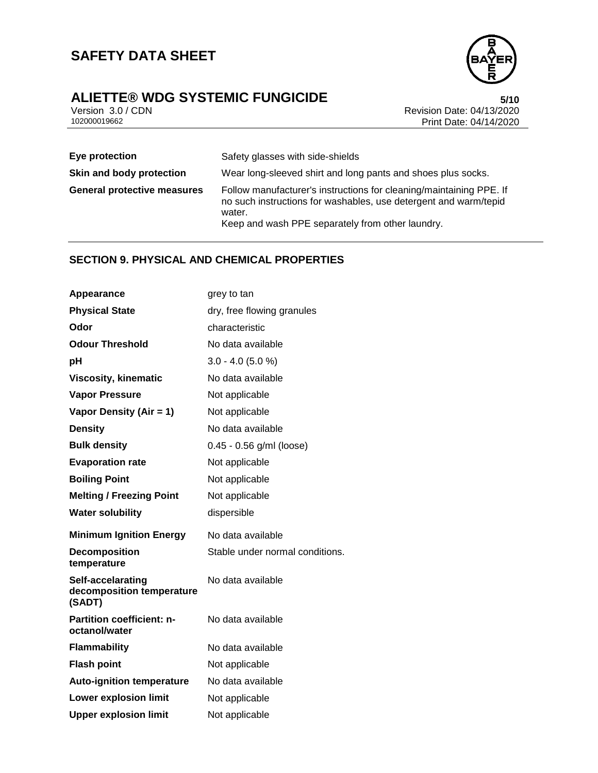

Version 3.0 / CDN<br>102000019662<br>Print Date: 04/14/2020 Print Date: 04/14/2020  $5/10$ 

| Eye protection                     | Safety glasses with side-shields                                                                                                                                                                      |
|------------------------------------|-------------------------------------------------------------------------------------------------------------------------------------------------------------------------------------------------------|
| Skin and body protection           | Wear long-sleeved shirt and long pants and shoes plus socks.                                                                                                                                          |
| <b>General protective measures</b> | Follow manufacturer's instructions for cleaning/maintaining PPE. If<br>no such instructions for washables, use detergent and warm/tepid<br>water.<br>Keep and wash PPE separately from other laundry. |

## **SECTION 9. PHYSICAL AND CHEMICAL PROPERTIES**

| Appearance                                               | grey to tan                     |
|----------------------------------------------------------|---------------------------------|
| <b>Physical State</b>                                    | dry, free flowing granules      |
| Odor                                                     | characteristic                  |
| <b>Odour Threshold</b>                                   | No data available               |
| рH                                                       | $3.0 - 4.0$ (5.0 %)             |
| <b>Viscosity, kinematic</b>                              | No data available               |
| <b>Vapor Pressure</b>                                    | Not applicable                  |
| Vapor Density (Air = 1)                                  | Not applicable                  |
| <b>Density</b>                                           | No data available               |
| <b>Bulk density</b>                                      | $0.45 - 0.56$ g/ml (loose)      |
| <b>Evaporation rate</b>                                  | Not applicable                  |
| <b>Boiling Point</b>                                     | Not applicable                  |
| <b>Melting / Freezing Point</b>                          | Not applicable                  |
|                                                          |                                 |
| <b>Water solubility</b>                                  | dispersible                     |
| <b>Minimum Ignition Energy</b>                           | No data available               |
| <b>Decomposition</b><br>temperature                      | Stable under normal conditions. |
| Self-accelarating<br>decomposition temperature<br>(SADT) | No data available               |
| <b>Partition coefficient: n-</b><br>octanol/water        | No data available               |
| <b>Flammability</b>                                      | No data available               |
| <b>Flash point</b>                                       | Not applicable                  |
| <b>Auto-ignition temperature</b>                         | No data available               |
| <b>Lower explosion limit</b>                             | Not applicable                  |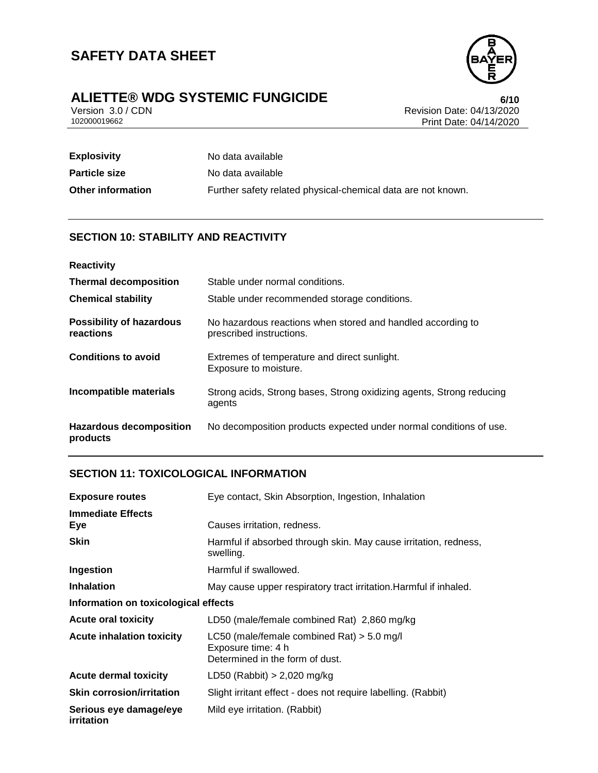

# **ALIETTE®** WDG SYSTEMIC FUNGICIDE<br>Version 3.0/CDN<br>Revision Date: 04/13/2020

Version 3.0 / CDN<br>102000019662<br>Print Date: 04/14/2020 Print Date: 04/14/2020 Page 6/10

| <b>Explosivity</b>       | No data available                                            |
|--------------------------|--------------------------------------------------------------|
| <b>Particle size</b>     | No data available                                            |
| <b>Other information</b> | Further safety related physical-chemical data are not known. |

## **SECTION 10: STABILITY AND REACTIVITY**

| <b>Reactivity</b>                            |                                                                                         |
|----------------------------------------------|-----------------------------------------------------------------------------------------|
| <b>Thermal decomposition</b>                 | Stable under normal conditions.                                                         |
| <b>Chemical stability</b>                    | Stable under recommended storage conditions.                                            |
| <b>Possibility of hazardous</b><br>reactions | No hazardous reactions when stored and handled according to<br>prescribed instructions. |
| <b>Conditions to avoid</b>                   | Extremes of temperature and direct sunlight.<br>Exposure to moisture.                   |
| Incompatible materials                       | Strong acids, Strong bases, Strong oxidizing agents, Strong reducing<br>agents          |
| <b>Hazardous decomposition</b><br>products   | No decomposition products expected under normal conditions of use.                      |

## **SECTION 11: TOXICOLOGICAL INFORMATION**

| <b>Exposure routes</b>               | Eye contact, Skin Absorption, Ingestion, Inhalation                                                   |
|--------------------------------------|-------------------------------------------------------------------------------------------------------|
| <b>Immediate Effects</b><br>Eye      | Causes irritation, redness.                                                                           |
| <b>Skin</b>                          | Harmful if absorbed through skin. May cause irritation, redness,<br>swelling.                         |
| Ingestion                            | Harmful if swallowed.                                                                                 |
| <b>Inhalation</b>                    | May cause upper respiratory tract irritation. Harmful if inhaled.                                     |
| Information on toxicological effects |                                                                                                       |
| <b>Acute oral toxicity</b>           | LD50 (male/female combined Rat) 2,860 mg/kg                                                           |
| <b>Acute inhalation toxicity</b>     | LC50 (male/female combined Rat) $>$ 5.0 mg/l<br>Exposure time: 4 h<br>Determined in the form of dust. |
| <b>Acute dermal toxicity</b>         | LD50 (Rabbit) $> 2,020$ mg/kg                                                                         |
| <b>Skin corrosion/irritation</b>     | Slight irritant effect - does not require labelling. (Rabbit)                                         |
| Serious eye damage/eye<br>irritation | Mild eye irritation. (Rabbit)                                                                         |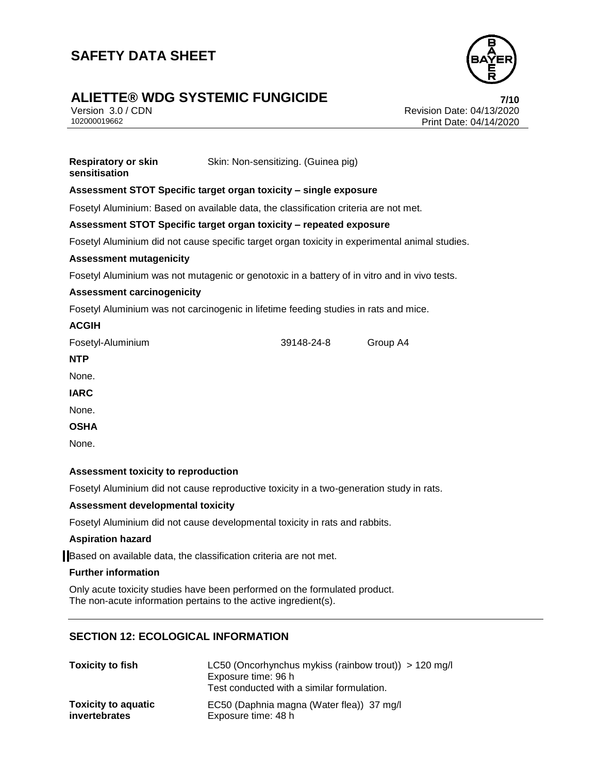

## **ALIETTE® WDG SYSTEMIC FUNGICIDE 7/10**

Version 3.0 / CDN<br>102000019662<br>Print Date: 04/14/2020 Print Date: 04/14/2020 7/10

| <b>Respiratory or skin</b> | Skin: Non-sensitizing. (Guinea pig) |
|----------------------------|-------------------------------------|
| sensitisation              |                                     |

#### **Assessment STOT Specific target organ toxicity – single exposure**

Fosetyl Aluminium: Based on available data, the classification criteria are not met.

#### **Assessment STOT Specific target organ toxicity – repeated exposure**

Fosetyl Aluminium did not cause specific target organ toxicity in experimental animal studies.

#### **Assessment mutagenicity**

Fosetyl Aluminium was not mutagenic or genotoxic in a battery of in vitro and in vivo tests.

#### **Assessment carcinogenicity**

Fosetyl Aluminium was not carcinogenic in lifetime feeding studies in rats and mice.

| <b>ACGIH</b>      |            |          |
|-------------------|------------|----------|
| Fosetyl-Aluminium | 39148-24-8 | Group A4 |
| <b>NTP</b>        |            |          |
| None.             |            |          |
| <b>IARC</b>       |            |          |
| None.             |            |          |
| <b>OSHA</b>       |            |          |
| None              |            |          |

#### **Assessment toxicity to reproduction**

Fosetyl Aluminium did not cause reproductive toxicity in a two-generation study in rats.

#### **Assessment developmental toxicity**

Fosetyl Aluminium did not cause developmental toxicity in rats and rabbits.

#### **Aspiration hazard**

Based on available data, the classification criteria are not met.

#### **Further information**

Only acute toxicity studies have been performed on the formulated product. The non-acute information pertains to the active ingredient(s).

### **SECTION 12: ECOLOGICAL INFORMATION**

| <b>Toxicity to fish</b>    | LC50 (Oncorhynchus mykiss (rainbow trout)) $> 120$ mg/l<br>Exposure time: 96 h<br>Test conducted with a similar formulation. |
|----------------------------|------------------------------------------------------------------------------------------------------------------------------|
| <b>Toxicity to aquatic</b> | EC50 (Daphnia magna (Water flea)) 37 mg/l                                                                                    |
| <i>invertebrates</i>       | Exposure time: 48 h                                                                                                          |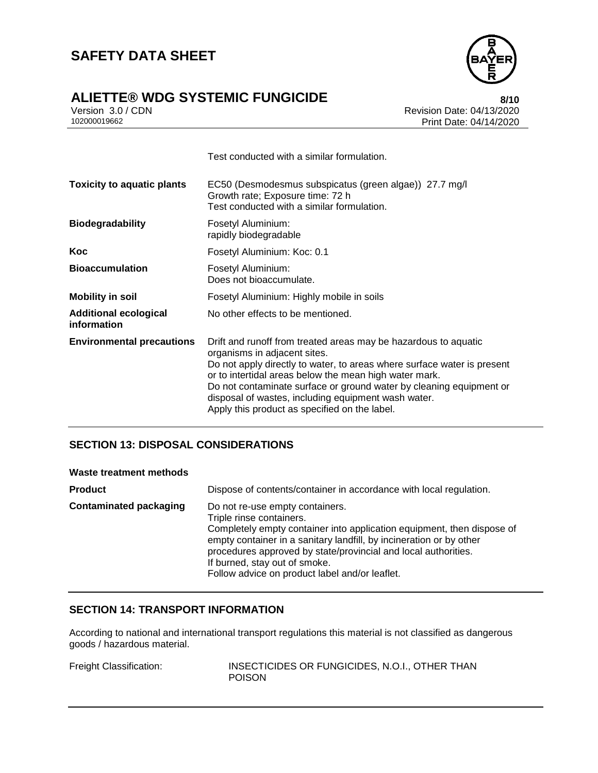

Version 3.0 / CDN<br>102000019662<br>Print Date: 04/14/2020 Print Date: 04/14/2020 8/10

| <b>Toxicity to aquatic plants</b>           | EC50 (Desmodesmus subspicatus (green algae)) 27.7 mg/l<br>Growth rate; Exposure time: 72 h<br>Test conducted with a similar formulation.                                                                                                                                                                                                                                                                            |
|---------------------------------------------|---------------------------------------------------------------------------------------------------------------------------------------------------------------------------------------------------------------------------------------------------------------------------------------------------------------------------------------------------------------------------------------------------------------------|
| <b>Biodegradability</b>                     | Fosetyl Aluminium:<br>rapidly biodegradable                                                                                                                                                                                                                                                                                                                                                                         |
| Koc                                         | Fosetyl Aluminium: Koc: 0.1                                                                                                                                                                                                                                                                                                                                                                                         |
| <b>Bioaccumulation</b>                      | Fosetyl Aluminium:<br>Does not bioaccumulate.                                                                                                                                                                                                                                                                                                                                                                       |
| <b>Mobility in soil</b>                     | Fosetyl Aluminium: Highly mobile in soils                                                                                                                                                                                                                                                                                                                                                                           |
| <b>Additional ecological</b><br>information | No other effects to be mentioned.                                                                                                                                                                                                                                                                                                                                                                                   |
| <b>Environmental precautions</b>            | Drift and runoff from treated areas may be hazardous to aquatic<br>organisms in adjacent sites.<br>Do not apply directly to water, to areas where surface water is present<br>or to intertidal areas below the mean high water mark.<br>Do not contaminate surface or ground water by cleaning equipment or<br>disposal of wastes, including equipment wash water.<br>Apply this product as specified on the label. |

Test conducted with a similar formulation.

## **SECTION 13: DISPOSAL CONSIDERATIONS**

| Waste treatment methods       |                                                                                                                                                                                                                                                                                                                                                                   |
|-------------------------------|-------------------------------------------------------------------------------------------------------------------------------------------------------------------------------------------------------------------------------------------------------------------------------------------------------------------------------------------------------------------|
| <b>Product</b>                | Dispose of contents/container in accordance with local regulation.                                                                                                                                                                                                                                                                                                |
| <b>Contaminated packaging</b> | Do not re-use empty containers.<br>Triple rinse containers.<br>Completely empty container into application equipment, then dispose of<br>empty container in a sanitary landfill, by incineration or by other<br>procedures approved by state/provincial and local authorities.<br>If burned, stay out of smoke.<br>Follow advice on product label and/or leaflet. |

## **SECTION 14: TRANSPORT INFORMATION**

According to national and international transport regulations this material is not classified as dangerous goods / hazardous material.

| Freight Classification: | INSECTICIDES OR FUNGICIDES, N.O.I., OTHER THAN |
|-------------------------|------------------------------------------------|
|                         | <b>POISON</b>                                  |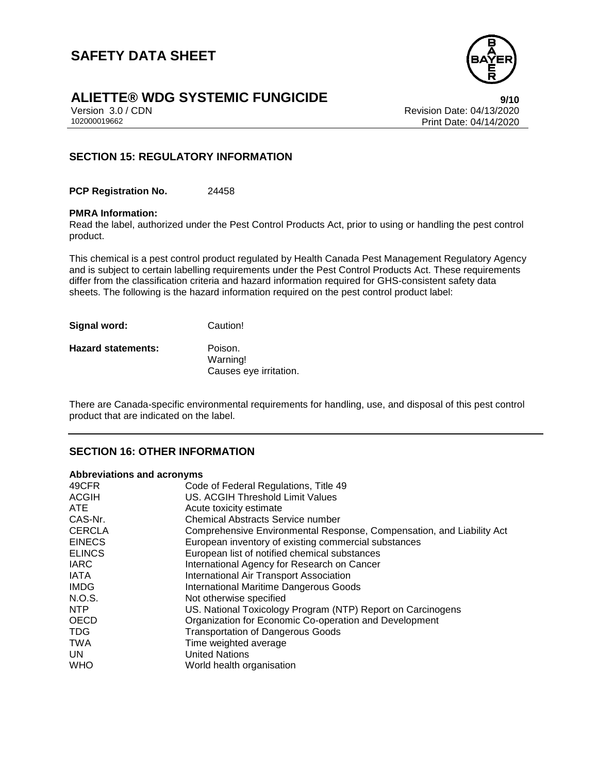

Version 3.0 / CDN<br>102000019662<br>Print Date: 04/14/2020 Print Date: 04/14/2020 9/10

## **SECTION 15: REGULATORY INFORMATION**

**PCP Registration No.** 24458

#### **PMRA Information:**

Read the label, authorized under the Pest Control Products Act, prior to using or handling the pest control product.

This chemical is a pest control product regulated by Health Canada Pest Management Regulatory Agency and is subject to certain labelling requirements under the Pest Control Products Act. These requirements differ from the classification criteria and hazard information required for GHS-consistent safety data sheets. The following is the hazard information required on the pest control product label:

| Signal word:              | Caution!                                      |
|---------------------------|-----------------------------------------------|
| <b>Hazard statements:</b> | Poison.<br>Warning!<br>Causes eye irritation. |

There are Canada-specific environmental requirements for handling, use, and disposal of this pest control product that are indicated on the label.

### **SECTION 16: OTHER INFORMATION**

#### **Abbreviations and acronyms**

| 49CFR         | Code of Federal Regulations, Title 49                                 |
|---------------|-----------------------------------------------------------------------|
| <b>ACGIH</b>  | <b>US. ACGIH Threshold Limit Values</b>                               |
| <b>ATE</b>    | Acute toxicity estimate                                               |
| CAS-Nr.       | Chemical Abstracts Service number                                     |
| <b>CERCLA</b> | Comprehensive Environmental Response, Compensation, and Liability Act |
| <b>EINECS</b> | European inventory of existing commercial substances                  |
| <b>ELINCS</b> | European list of notified chemical substances                         |
| <b>IARC</b>   | International Agency for Research on Cancer                           |
| <b>IATA</b>   | International Air Transport Association                               |
| <b>IMDG</b>   | International Maritime Dangerous Goods                                |
| N.O.S.        | Not otherwise specified                                               |
| NTP           | US. National Toxicology Program (NTP) Report on Carcinogens           |
| <b>OECD</b>   | Organization for Economic Co-operation and Development                |
| <b>TDG</b>    | <b>Transportation of Dangerous Goods</b>                              |
| TWA           | Time weighted average                                                 |
| UN.           | <b>United Nations</b>                                                 |
| <b>WHO</b>    | World health organisation                                             |